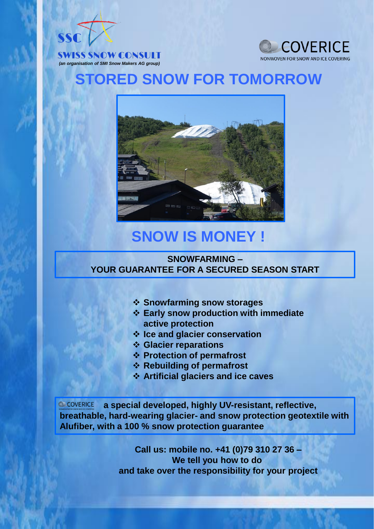



# **STORED SNOW FOR TOMORROW**



# **SNOW IS MONEY !**

#### **SNOWFARMING – YOUR GUARANTEE FOR A SECURED SEASON START**

- ❖ **Snowfarming snow storages**
- ❖ **Early snow production with immediate active protection**
- ❖ **Ice and glacier conservation**
- ❖ **Glacier reparations**
- ❖ **Protection of permafrost**
- ❖ **Rebuilding of permafrost**
- ❖ **Artificial glaciers and ice caves**

COVERICE **a special developed, highly UV-resistant, reflective, breathable, hard-wearing glacier- and snow protection geotextile with Alufiber, with a 100 % snow protection guarantee**

> **Call us: mobile no. +41 (0)79 310 27 36 – We tell you how to do and take over the responsibility for your project**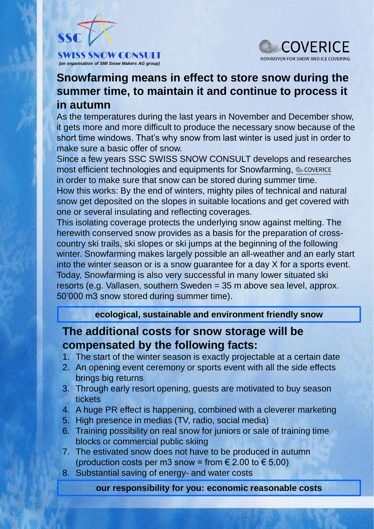

*(an organisation of SMI Snow Makers AG group)*



### **Snowfarming means in effect to store snow during the summer time, to maintain it and continue to process it in autumn**

As the temperatures during the last years in November and December show, it gets more and more difficult to produce the necessary snow because of the short time windows. That's why snow from last winter is used just in order to make sure a basic offer of snow.

Since a few years SSC SWISS SNOW CONSULT develops and researches most efficient technologies and equipments for Snowfarming, @ COVERICE in order to make sure that snow can be stored during summer time. How this works: By the end of winters, mighty piles of technical and natural snow get deposited on the slopes in suitable locations and get covered with one or several insulating and reflecting coverages.

This isolating coverage protects the underlying snow against melting. The herewith conserved snow provides as a basis for the preparation of crosscountry ski trails, ski slopes or ski jumps at the beginning of the following winter. Snowfarming makes largely possible an all-weather and an early start into the winter season or is a snow guarantee for a day X for a sports event. Today, Snowfarming is also very successful in many lower situated ski resorts (e.g. Vallasen, southern Sweden = 35 m above sea level, approx. 50'000 m3 snow stored during summer time).

**ecological, sustainable and environment friendly snow**

### **The additional costs for snow storage will be compensated by the following facts:**

- 1. The start of the winter season is exactly projectable at a certain date
- 2. An opening event ceremony or sports event with all the side effects brings big returns
- 3. Through early resort opening, guests are motivated to buy season tickets
- 4. A huge PR effect is happening, combined with a cleverer marketing
- 5. High presence in medias (TV, radio, social media)
- 6. Training possibility on real snow for juniors or sale of training time blocks or commercial public skiing
- 7. The estivated snow does not have to be produced in autumn (production costs per m3 snow = from  $\in$  2.00 to  $\in$  5.00)
- 8. Substantial saving of energy- and water costs

**our responsibility for you: economic reasonable costs**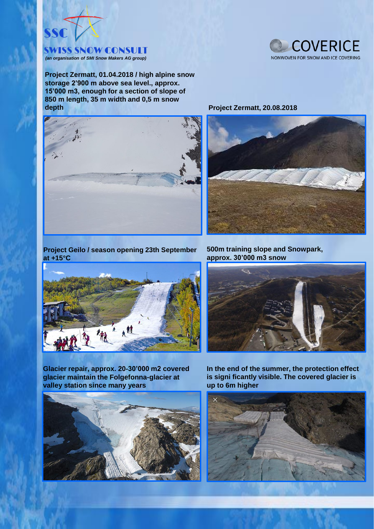

**Project Zermatt, 01.04.2018 / high alpine snow storage 2'900 m above sea level., approx. 15'000 m3, enough for a section of slope of 850 m length, 35 m width and 0,5 m snow depth Project Zermatt**, 20.08.2018







**Project Geilo / season opening 23th September at +15°C**



**500m training slope and Snowpark, approx. 30'000 m3 snow**



**Glacier repair, approx. 20-30'000 m2 covered glacier maintain the Folgefonna-glacier at valley station since many years**



**In the end of the summer, the protection effect is signi ficantly visible. The covered glacier is up to 6m higher**